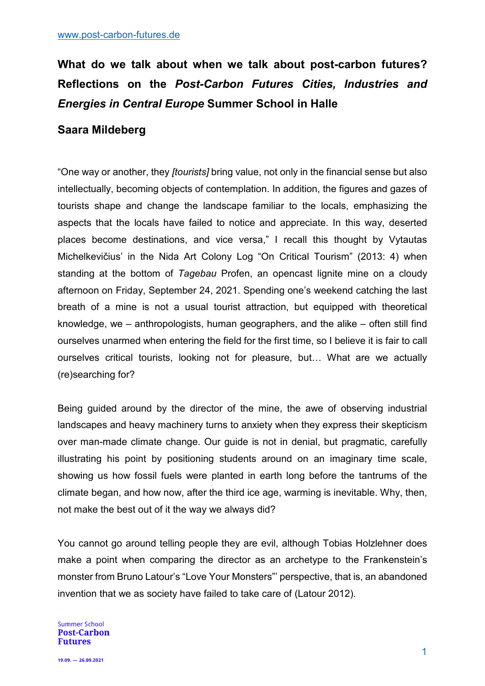# **What do we talk about when we talk about post-carbon futures? Reflections on the** *Post-Carbon Futures Cities, Industries and Energies in Central Europe* **Summer School in Halle**

# **Saara Mildeberg**

"One way or another, they *[tourists]* bring value, not only in the financial sense but also intellectually, becoming objects of contemplation. In addition, the figures and gazes of tourists shape and change the landscape familiar to the locals, emphasizing the aspects that the locals have failed to notice and appreciate. In this way, deserted places become destinations, and vice versa," I recall this thought by Vytautas Michelkevičius' in the Nida Art Colony Log "On Critical Tourism" (2013: 4) when standing at the bottom of *Tagebau* Profen, an opencast lignite mine on a cloudy afternoon on Friday, September 24, 2021. Spending one's weekend catching the last breath of a mine is not a usual tourist attraction, but equipped with theoretical knowledge, we – anthropologists, human geographers, and the alike – often still find ourselves unarmed when entering the field for the first time, so I believe it is fair to call ourselves critical tourists, looking not for pleasure, but… What are we actually (re)searching for?

Being guided around by the director of the mine, the awe of observing industrial landscapes and heavy machinery turns to anxiety when they express their skepticism over man-made climate change. Our guide is not in denial, but pragmatic, carefully illustrating his point by positioning students around on an imaginary time scale, showing us how fossil fuels were planted in earth long before the tantrums of the climate began, and how now, after the third ice age, warming is inevitable. Why, then, not make the best out of it the way we always did?

You cannot go around telling people they are evil, although Tobias Holzlehner does make a point when comparing the director as an archetype to the Frankenstein's monster from Bruno Latour's "Love Your Monsters"' perspective, that is, an abandoned invention that we as society have failed to take care of (Latour 2012).

#### **Summer School Post-Carbon Futures**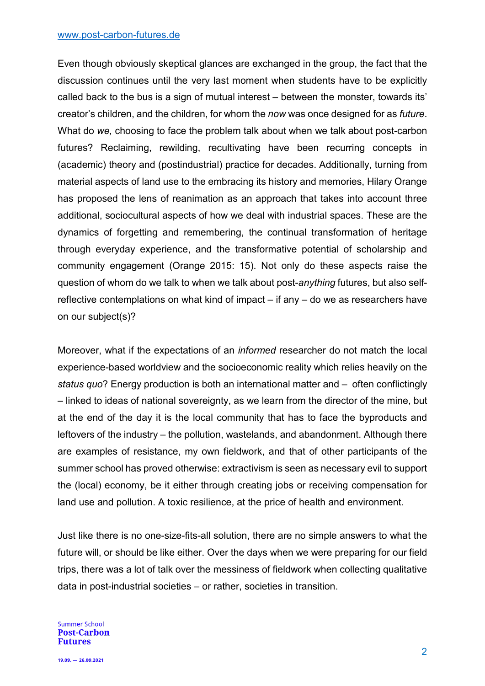#### www.post-carbon-futures.de

Even though obviously skeptical glances are exchanged in the group, the fact that the discussion continues until the very last moment when students have to be explicitly called back to the bus is a sign of mutual interest – between the monster, towards its' creator's children, and the children, for whom the *now* was once designed for as *future*. What do *we,* choosing to face the problem talk about when we talk about post-carbon futures? Reclaiming, rewilding, recultivating have been recurring concepts in (academic) theory and (postindustrial) practice for decades. Additionally, turning from material aspects of land use to the embracing its history and memories, Hilary Orange has proposed the lens of reanimation as an approach that takes into account three additional, sociocultural aspects of how we deal with industrial spaces. These are the dynamics of forgetting and remembering, the continual transformation of heritage through everyday experience, and the transformative potential of scholarship and community engagement (Orange 2015: 15). Not only do these aspects raise the question of whom do we talk to when we talk about post-*anything* futures, but also selfreflective contemplations on what kind of impact – if any – do we as researchers have on our subject(s)?

Moreover, what if the expectations of an *informed* researcher do not match the local experience-based worldview and the socioeconomic reality which relies heavily on the *status quo*? Energy production is both an international matter and – often conflictingly – linked to ideas of national sovereignty, as we learn from the director of the mine, but at the end of the day it is the local community that has to face the byproducts and leftovers of the industry – the pollution, wastelands, and abandonment. Although there are examples of resistance, my own fieldwork, and that of other participants of the summer school has proved otherwise: extractivism is seen as necessary evil to support the (local) economy, be it either through creating jobs or receiving compensation for land use and pollution. A toxic resilience, at the price of health and environment.

Just like there is no one-size-fits-all solution, there are no simple answers to what the future will, or should be like either. Over the days when we were preparing for our field trips, there was a lot of talk over the messiness of fieldwork when collecting qualitative data in post-industrial societies – or rather, societies in transition.

**Summer School Post-Carbon Futures**